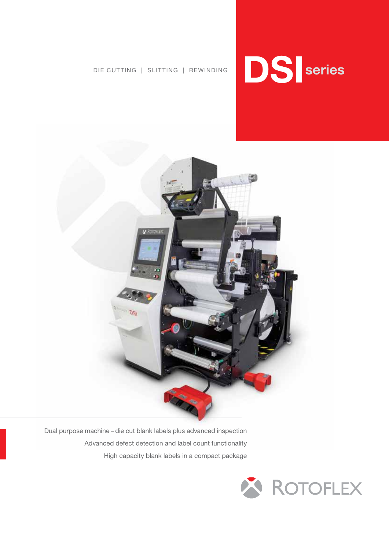



Dual purpose machine – die cut blank labels plus advanced inspection Advanced defect detection and label count functionality High capacity blank labels in a compact package